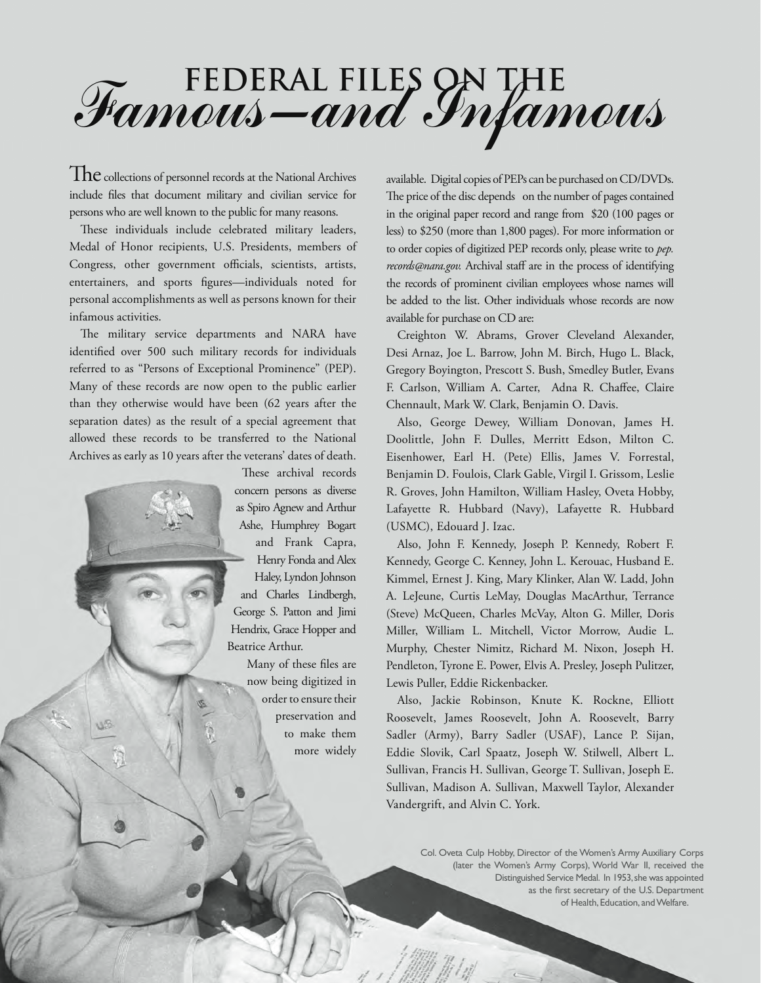## **Federal Files on the** Famous-and Infamous

 $The$  collections of personnel records at the National Archives include files that document military and civilian service for persons who are well known to the public for many reasons.

These individuals include celebrated military leaders, Medal of Honor recipients, U.S. Presidents, members of Congress, other government officials, scientists, artists, entertainers, and sports figures—individuals noted for personal accomplishments as well as persons known for their infamous activities.

The military service departments and NARA have identified over 500 such military records for individuals referred to as "Persons of Exceptional Prominence" (PEP). Many of these records are now open to the public earlier than they otherwise would have been (62 years after the separation dates) as the result of a special agreement that allowed these records to be transferred to the National Archives as early as 10 years after the veterans' dates of death.

These archival records concern persons as diverse as Spiro Agnew and Arthur Ashe, Humphrey Bogart

and Frank Capra, Henry Fonda and Alex Haley, Lyndon Johnson and Charles Lindbergh, George S. Patton and Jimi Hendrix, Grace Hopper and Beatrice Arthur.

> Many of these files are now being digitized in order to ensure their preservation and to make them more widely

available. Digital copies of PEPs can be purchased on CD/DVDs. The price of the disc depends on the number of pages contained in the original paper record and range from \$20 (100 pages or less) to \$250 (more than 1,800 pages). For more information or to order copies of digitized PEP records only, please write to *pep. records@nara.gov.* Archival staff are in the process of identifying the records of prominent civilian employees whose names will be added to the list. Other individuals whose records are now available for purchase on CD are:

Creighton W. Abrams, Grover Cleveland Alexander, Desi Arnaz, Joe L. Barrow, John M. Birch, Hugo L. Black, Gregory Boyington, Prescott S. Bush, Smedley Butler, Evans F. Carlson, William A. Carter, Adna R. Chaffee, Claire Chennault, Mark W. Clark, Benjamin O. Davis.

Also, George Dewey, William Donovan, James H. Doolittle, John F. Dulles, Merritt Edson, Milton C. Eisenhower, Earl H. (Pete) Ellis, James V. Forrestal, Benjamin D. Foulois, Clark Gable, Virgil I. Grissom, Leslie R. Groves, John Hamilton, William Hasley, Oveta Hobby, Lafayette R. Hubbard (Navy), Lafayette R. Hubbard (USMC), Edouard J. Izac.

Also, John F. Kennedy, Joseph P. Kennedy, Robert F. Kennedy, George C. Kenney, John L. Kerouac, Husband E. Kimmel, Ernest J. King, Mary Klinker, Alan W. Ladd, John A. LeJeune, Curtis LeMay, Douglas MacArthur, Terrance (Steve) McQueen, Charles McVay, Alton G. Miller, Doris Miller, William L. Mitchell, Victor Morrow, Audie L. Murphy, Chester Nimitz, Richard M. Nixon, Joseph H. Pendleton, Tyrone E. Power, Elvis A. Presley, Joseph Pulitzer, Lewis Puller, Eddie Rickenbacker.

Also, Jackie Robinson, Knute K. Rockne, Elliott Roosevelt, James Roosevelt, John A. Roosevelt, Barry Sadler (Army), Barry Sadler (USAF), Lance P. Sijan, Eddie Slovik, Carl Spaatz, Joseph W. Stilwell, Albert L. Sullivan, Francis H. Sullivan, George T. Sullivan, Joseph E. Sullivan, Madison A. Sullivan, Maxwell Taylor, Alexander Vandergrift, and Alvin C. York.

> Col. Oveta Culp Hobby, Director of the Women's Army Auxiliary Corps (later the Women's Army Corps), World War II, received the Distinguished Service Medal. In 1953, she was appointed as the first secretary of the U.S. Department of Health, Education, and Welfare.